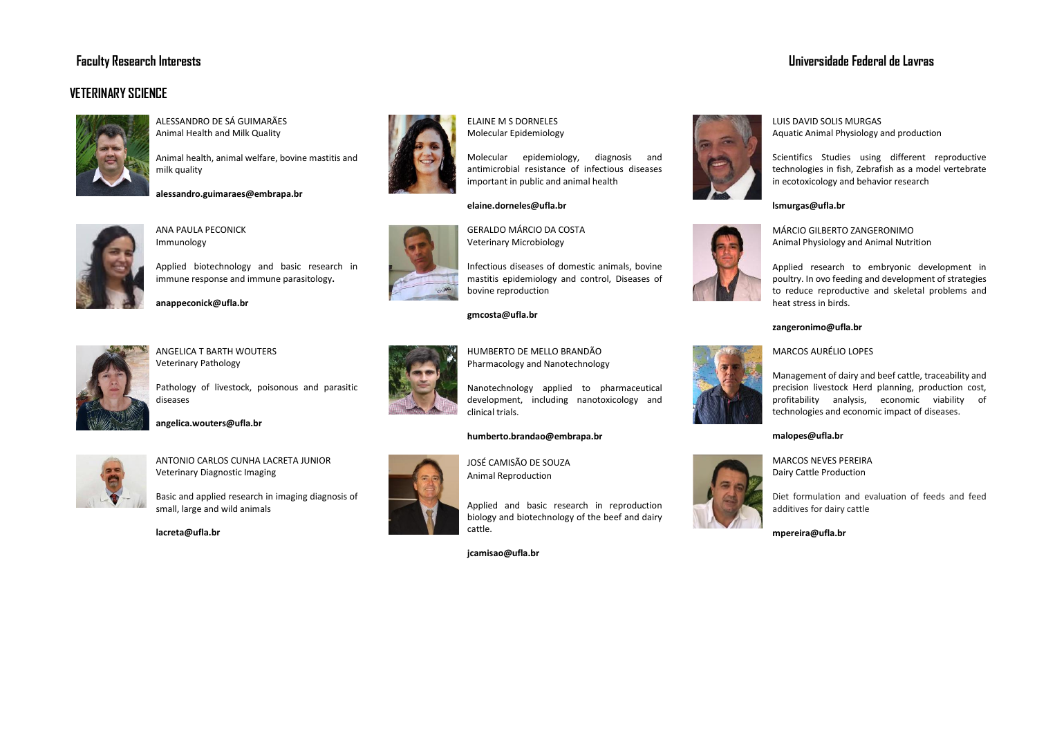# **Faculty Research Interests Universidade Federal de Lavras**

# **VETERINARY SCIENCE**



ALESSANDRO DE SÁ GUIMARÃES Animal Health and Milk Quality

Animal health, animal welfare, bovine mastitis and milk quality





ANA PAULA PECONICK Immunology

Applied biotechnology and basic research in immune response and immune parasitology**.**



**anappeconick@ufla.br**



ANGELICA T BARTH WOUTERS Veterinary Pathology

Pathology of livestock, poisonous and parasitic diseases

# **angelica.wouters@ufla.br**



ANTONIO CARLOS CUNHA LACRETA JUNIOR Veterinary Diagnostic Imaging

Basic and applied research in imaging diagnosis of small, large and wild animals

**lacreta@ufla.br**



ELAINE M S DORNELES Molecular Epidemiology

Molecular epidemiology, diagnosis and antimicrobial resistance of infectious diseases important in public and animal health

# **elaine.dorneles@ufla.br**



GERALDO MÁRCIO DA COSTA Veterinary Microbiology

Infectious diseases of domestic animals, bovine mastitis epidemiology and control, Diseases of bovine reproduction

#### **gmcosta@ufla.br**



HUMBERTO DE MELLO BRANDÃO Pharmacology and Nanotechnology

Nanotechnology applied to pharmaceutical development, including nanotoxicology and clinical trials.

# **humberto.brandao@embrapa.br**

JOSÉ CAMISÃO DE SOUZA **Animal Reproduction** 

> Applied and basic research in reproduction biology and biotechnology of the beef and dairy cattle.

**jcamisao@ufla.br**



LUIS DAVID SOLIS MURGAS Aquatic Animal Physiology and production

Scientifics Studies using different reproductive technologies in fish, Zebrafish as a model vertebrate in ecotoxicology and behavior research

#### **lsmurgas@ufla.br**



MÁRCIO GILBERTO ZANGERONIMO Animal Physiology and Animal Nutrition

Applied research to embryonic development in poultry. In ovo feeding and development of strategies to reduce reproductive and skeletal problems and heat stress in birds.

# **zangeronimo@ufla.br**

# MARCOS AURÉLIO LOPES



# **malopes@ufla.br**

MARCOS NEVES PEREIRA Dairy Cattle Production

Diet formulation and evaluation of feeds and feed additives for dairy cattle

**mpereira@ufla.br**